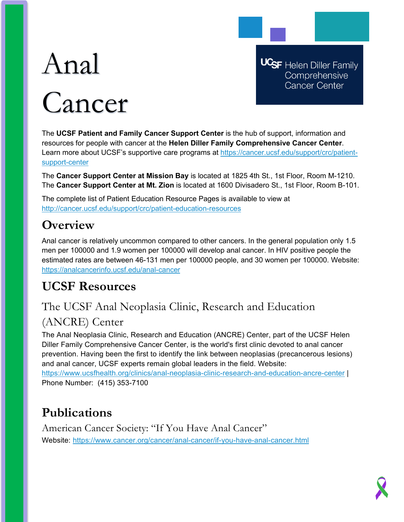# Anal Cancer

**UCSF** Helen Diller Family Comprehensive Cancer Center

The **UCSF Patient and Family Cancer Support Center** is the hub of support, information and resources for people with cancer at the **Helen Diller Family Comprehensive Cancer Center**. Learn more about UCSF's supportive care programs at [https://cancer.ucsf.edu/support/crc/patient](https://cancer.ucsf.edu/support/crc/patient-support-center)[support-center](https://cancer.ucsf.edu/support/crc/patient-support-center)

The **Cancer Support Center at Mission Bay** is located at 1825 4th St., 1st Floor, Room M-1210. The **Cancer Support Center at Mt. Zion** is located at 1600 Divisadero St., 1st Floor, Room B-101.

The complete list of Patient Education Resource Pages is available to view at <http://cancer.ucsf.edu/support/crc/patient-education-resources>

## **Overview**

Anal cancer is relatively uncommon compared to other cancers. In the general population only 1.5 men per 100000 and 1.9 women per 100000 will develop anal cancer. In HIV positive people the estimated rates are between 46-131 men per 100000 people, and 30 women per 100000. Website: <https://analcancerinfo.ucsf.edu/anal-cancer>

## **UCSF Resources**

## The UCSF Anal Neoplasia Clinic, Research and Education

### (ANCRE) Center

The Anal Neoplasia Clinic, Research and Education (ANCRE) Center, part of the UCSF Helen Diller Family Comprehensive Cancer Center, is the world's first clinic devoted to anal cancer prevention. Having been the first to identify the link between neoplasias (precancerous lesions) and anal cancer, UCSF experts remain global leaders in the field. Website:

<https://www.ucsfhealth.org/clinics/anal-neoplasia-clinic-research-and-education-ancre-center> | Phone Number: (415) 353-7100

## **Publications**

American Cancer Society: "If You Have Anal Cancer" Website: <https://www.cancer.org/cancer/anal-cancer/if-you-have-anal-cancer.html>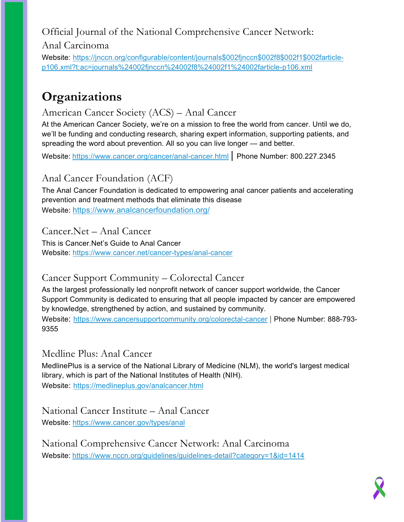## Official Journal of the National Comprehensive Cancer Network:

Anal Carcinoma

Website: [https://jnccn.org/configurable/content/journals\\$002fjnccn\\$002f8\\$002f1\\$002farticle](https://jnccn.org/configurable/content/journals$002fjnccn$002f8$002f1$002farticle-p106.xml?t:ac=journals%24002fjnccn%24002f8%24002f1%24002farticle-p106.xml)[p106.xml?t:ac=journals%24002fjnccn%24002f8%24002f1%24002farticle-p106.xml](https://jnccn.org/configurable/content/journals$002fjnccn$002f8$002f1$002farticle-p106.xml?t:ac=journals%24002fjnccn%24002f8%24002f1%24002farticle-p106.xml)

## **Organizations**

#### American Cancer Society (ACS) – Anal Cancer

At the American Cancer Society, we're on a mission to free the world from cancer. Until we do, we'll be funding and conducting research, sharing expert information, supporting patients, and spreading the word about prevention. All so you can live longer — and better.

Website: <https://www.cancer.org/cancer/anal-cancer.html> | Phone Number: 800.227.2345

#### Anal Cancer Foundation (ACF)

The Anal Cancer Foundation is dedicated to empowering anal cancer patients and accelerating prevention and treatment methods that eliminate this disease Website:<https://www.analcancerfoundation.org/>

Cancer.Net – Anal Cancer

This is Cancer.Net's Guide to Anal Cancer Website:<https://www.cancer.net/cancer-types/anal-cancer>

#### Cancer Support Community – Colorectal Cancer

As the largest professionally led nonprofit network of cancer support worldwide, the Cancer Support Community is dedicated to ensuring that all people impacted by cancer are empowered by knowledge, strengthened by action, and sustained by community.

Website: <https://www.cancersupportcommunity.org/colorectal-cancer> | Phone Number: 888-793-9355

#### Medline Plus: Anal Cancer

MedlinePlus is a service of the National Library of Medicine (NLM), the world's largest medical library, which is part of the National Institutes of Health (NIH). Website: <https://medlineplus.gov/analcancer.html>

#### National Cancer Institute – Anal Cancer

Website:<https://www.cancer.gov/types/anal>

National Comprehensive Cancer Network: Anal Carcinoma Website: <https://www.nccn.org/guidelines/guidelines-detail?category=1&id=1414>